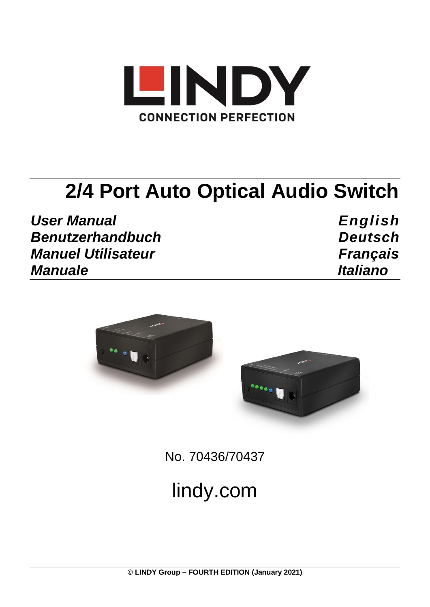

# **2/4 Port Auto Optical Audio Switch**

*User Manual English Benutzerhandbuch Deutsch Manuel Utilisateur Français Manuale Italiano*



No. 70436/70437

# lindy.com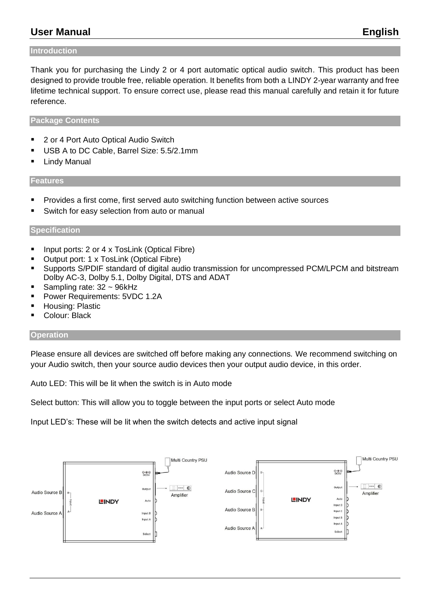# **User Manual English**

#### **Introduction**

Thank you for purchasing the Lindy 2 or 4 port automatic optical audio switch. This product has been designed to provide trouble free, reliable operation. It benefits from both a LINDY 2-year warranty and free lifetime technical support. To ensure correct use, please read this manual carefully and retain it for future reference.

#### **Package Contents**

- 2 or 4 Port Auto Optical Audio Switch
- USB A to DC Cable, Barrel Size: 5.5/2.1mm
- **E** Lindy Manual

#### **Features**

- Provides a first come, first served auto switching function between active sources
- Switch for easy selection from auto or manual

#### **Specification**

- Input ports: 2 or 4 x TosLink (Optical Fibre)
- Output port: 1 x TosLink (Optical Fibre)
- Supports S/PDIF standard of digital audio transmission for uncompressed PCM/LPCM and bitstream Dolby AC-3, Dolby 5.1, Dolby Digital, DTS and ADAT
- Sampling rate:  $32 \sim 96$ kHz
- Power Requirements: 5VDC 1.2A
- Housing: Plastic
- Colour: Black

#### **Operation**

Please ensure all devices are switched off before making any connections. We recommend switching on your Audio switch, then your source audio devices then your output audio device, in this order.

Auto LED: This will be lit when the switch is in Auto mode

Select button: This will allow you to toggle between the input ports or select Auto mode

Input LED's: These will be lit when the switch detects and active input signal

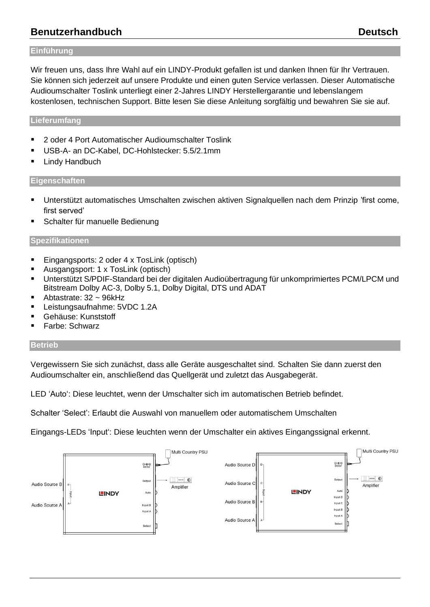# **Benutzerhandbuch Deutsch**

#### **Einführung**

Wir freuen uns, dass Ihre Wahl auf ein LINDY-Produkt gefallen ist und danken Ihnen für Ihr Vertrauen. Sie können sich jederzeit auf unsere Produkte und einen guten Service verlassen. Dieser Automatische Audioumschalter Toslink unterliegt einer 2-Jahres LINDY Herstellergarantie und lebenslangem kostenlosen, technischen Support. Bitte lesen Sie diese Anleitung sorgfältig und bewahren Sie sie auf.

#### **Lieferumfang**

- 2 oder 4 Port Automatischer Audioumschalter Toslink
- USB-A- an DC-Kabel, DC-Hohlstecker: 5.5/2.1mm
- **E** Lindy Handbuch

#### **Eigenschaften**

- Unterstützt automatisches Umschalten zwischen aktiven Signalquellen nach dem Prinzip 'first come, first served'
- Schalter für manuelle Bedienung

#### **Spezifikationen**

- Eingangsports: 2 oder 4 x TosLink (optisch)
- Ausgangsport: 1 x TosLink (optisch)
- Unterstützt S/PDIF-Standard bei der digitalen Audioübertragung für unkomprimiertes PCM/LPCM und Bitstream Dolby AC-3, Dolby 5.1, Dolby Digital, DTS und ADAT
- Abtastrate:  $32 \sim 96$ kHz
- Leistungsaufnahme: 5VDC 1.2A
- Gehäuse: Kunststoff
- Farbe: Schwarz

#### **Betrieb**

Vergewissern Sie sich zunächst, dass alle Geräte ausgeschaltet sind. Schalten Sie dann zuerst den Audioumschalter ein, anschließend das Quellgerät und zuletzt das Ausgabegerät.

LED 'Auto': Diese leuchtet, wenn der Umschalter sich im automatischen Betrieb befindet.

Schalter 'Select': Erlaubt die Auswahl von manuellem oder automatischem Umschalten

Eingangs-LEDs 'Input': Diese leuchten wenn der Umschalter ein aktives Eingangssignal erkennt.

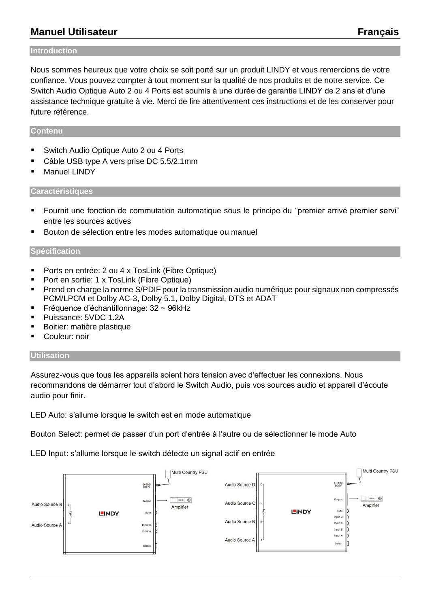# **Manuel Utilisateur Français**

#### **Introduction**

Nous sommes heureux que votre choix se soit porté sur un produit LINDY et vous remercions de votre confiance. Vous pouvez compter à tout moment sur la qualité de nos produits et de notre service. Ce Switch Audio Optique Auto 2 ou 4 Ports est soumis à une durée de garantie LINDY de 2 ans et d'une assistance technique gratuite à vie. Merci de lire attentivement ces instructions et de les conserver pour future référence.

#### **Contenu**

- Switch Audio Optique Auto 2 ou 4 Ports
- Câble USB type A vers prise DC 5.5/2.1mm
- Manuel LINDY

#### **Caractéristiques**

- Fournit une fonction de commutation automatique sous le principe du "premier arrivé premier servi" entre les sources actives
- Bouton de sélection entre les modes automatique ou manuel

#### **Spécification**

- Ports en entrée: 2 ou 4 x TosLink (Fibre Optique)
- Port en sortie: 1 x TosLink (Fibre Optique)
- Prend en charge la norme S/PDIF pour la transmission audio numérique pour signaux non compressés PCM/LPCM et Dolby AC-3, Dolby 5.1, Dolby Digital, DTS et ADAT
- Fréquence d'échantillonnage: 32 ~ 96kHz
- Puissance: 5VDC 1.2A
- Boitier: matière plastique
- Couleur: noir

#### **Utilisation**

Assurez-vous que tous les appareils soient hors tension avec d'effectuer les connexions. Nous recommandons de démarrer tout d'abord le Switch Audio, puis vos sources audio et appareil d'écoute audio pour finir.

LED Auto: s'allume lorsque le switch est en mode automatique

Bouton Select: permet de passer d'un port d'entrée à l'autre ou de sélectionner le mode Auto

LED Input: s'allume lorsque le switch détecte un signal actif en entrée

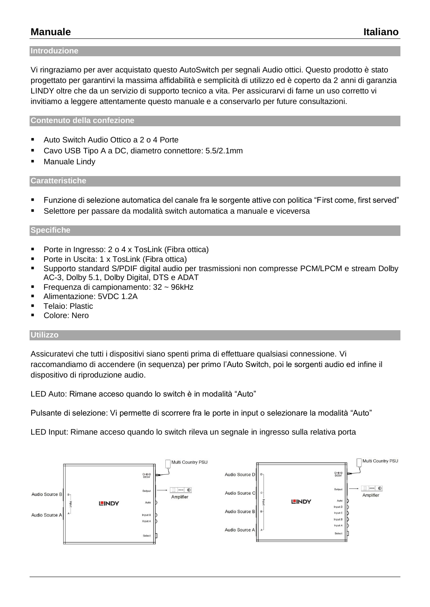# **Manuale Italiano**

#### **Introduzione**

Vi ringraziamo per aver acquistato questo AutoSwitch per segnali Audio ottici. Questo prodotto è stato progettato per garantirvi la massima affidabilità e semplicità di utilizzo ed è coperto da 2 anni di garanzia LINDY oltre che da un servizio di supporto tecnico a vita. Per assicurarvi di farne un uso corretto vi invitiamo a leggere attentamente questo manuale e a conservarlo per future consultazioni.

#### **Contenuto della confezione**

- Auto Switch Audio Ottico a 2 o 4 Porte
- Cavo USB Tipo A a DC, diametro connettore: 5.5/2.1mm
- Manuale Lindy

#### **Caratteristiche**

- Funzione di selezione automatica del canale fra le sorgente attive con politica "First come, first served"
- Selettore per passare da modalità switch automatica a manuale e viceversa

#### **Specifiche**

- Porte in Ingresso: 2 o 4 x TosLink (Fibra ottica)
- Porte in Uscita: 1 x TosLink (Fibra ottica)
- Supporto standard S/PDIF digital audio per trasmissioni non compresse PCM/LPCM e stream Dolby AC-3, Dolby 5.1, Dolby Digital, DTS e ADAT
- Frequenza di campionamento: 32 ~ 96kHz
- Alimentazione: 5VDC 1.2A
- Telaio: Plastic
- Colore: Nero

#### **Utilizzo**

Assicuratevi che tutti i dispositivi siano spenti prima di effettuare qualsiasi connessione. Vi raccomandiamo di accendere (in sequenza) per primo l'Auto Switch, poi le sorgenti audio ed infine il dispositivo di riproduzione audio.

LED Auto: Rimane acceso quando lo switch è in modalità "Auto"

Pulsante di selezione: Vi permette di scorrere fra le porte in input o selezionare la modalità "Auto"

LED Input: Rimane acceso quando lo switch rileva un segnale in ingresso sulla relativa porta

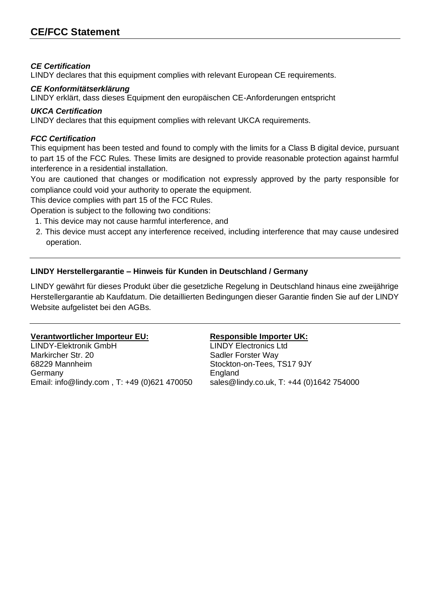#### *CE Certification*

LINDY declares that this equipment complies with relevant European CE requirements.

#### *CE Konformitätserklärung*

LINDY erklärt, dass dieses Equipment den europäischen CE-Anforderungen entspricht

#### *UKCA Certification*

LINDY declares that this equipment complies with relevant UKCA requirements.

#### *FCC Certification*

This equipment has been tested and found to comply with the limits for a Class B digital device, pursuant to part 15 of the FCC Rules. These limits are designed to provide reasonable protection against harmful interference in a residential installation.

You are cautioned that changes or modification not expressly approved by the party responsible for compliance could void your authority to operate the equipment.

This device complies with part 15 of the FCC Rules.

Operation is subject to the following two conditions:

- 1. This device may not cause harmful interference, and
- 2. This device must accept any interference received, including interference that may cause undesired operation.

### **LINDY Herstellergarantie – Hinweis für Kunden in Deutschland / Germany**

LINDY gewährt für dieses Produkt über die gesetzliche Regelung in Deutschland hinaus eine zweijährige Herstellergarantie ab Kaufdatum. Die detaillierten Bedingungen dieser Garantie finden Sie auf der LINDY Website aufgelistet bei den AGBs.

#### **Verantwortlicher Importeur EU: Responsible Importer UK:**

LINDY-Elektronik GmbH LINDY Electronics Ltd Markircher Str. 20 Sadler Forster Way 68229 Mannheim Stockton-on-Tees, TS17 9JY Germany **England** Email: info@lindy.com , T: +49 (0)621 470050 sales@lindy.co.uk, T: +44 (0)1642 754000